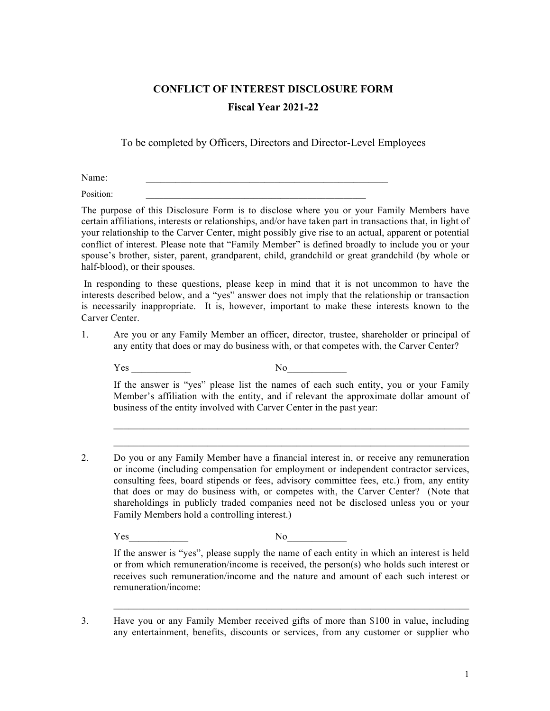## **CONFLICT OF INTEREST DISCLOSURE FORM Fiscal Year 2021-22**

To be completed by Officers, Directors and Director-Level Employees

Name:

Position:

The purpose of this Disclosure Form is to disclose where you or your Family Members have certain affiliations, interests or relationships, and/or have taken part in transactions that, in light of your relationship to the Carver Center, might possibly give rise to an actual, apparent or potential conflict of interest. Please note that "Family Member" is defined broadly to include you or your spouse's brother, sister, parent, grandparent, child, grandchild or great grandchild (by whole or half-blood), or their spouses.

In responding to these questions, please keep in mind that it is not uncommon to have the interests described below, and a "yes" answer does not imply that the relationship or transaction is necessarily inappropriate. It is, however, important to make these interests known to the Carver Center.

1. Are you or any Family Member an officer, director, trustee, shareholder or principal of any entity that does or may do business with, or that competes with, the Carver Center?

Yes No

If the answer is "yes" please list the names of each such entity, you or your Family Member's affiliation with the entity, and if relevant the approximate dollar amount of business of the entity involved with Carver Center in the past year:

 $\mathcal{L}_\text{max}$  , and the contribution of the contribution of the contribution of the contribution of the contribution of the contribution of the contribution of the contribution of the contribution of the contribution of t

2. Do you or any Family Member have a financial interest in, or receive any remuneration or income (including compensation for employment or independent contractor services, consulting fees, board stipends or fees, advisory committee fees, etc.) from, any entity that does or may do business with, or competes with, the Carver Center? (Note that shareholdings in publicly traded companies need not be disclosed unless you or your Family Members hold a controlling interest.)

Yes No

If the answer is "yes", please supply the name of each entity in which an interest is held or from which remuneration/income is received, the person(s) who holds such interest or receives such remuneration/income and the nature and amount of each such interest or remuneration/income:

 $\mathcal{L}_\text{max} = \mathcal{L}_\text{max} = \mathcal{L}_\text{max} = \mathcal{L}_\text{max} = \mathcal{L}_\text{max} = \mathcal{L}_\text{max} = \mathcal{L}_\text{max} = \mathcal{L}_\text{max} = \mathcal{L}_\text{max} = \mathcal{L}_\text{max} = \mathcal{L}_\text{max} = \mathcal{L}_\text{max} = \mathcal{L}_\text{max} = \mathcal{L}_\text{max} = \mathcal{L}_\text{max} = \mathcal{L}_\text{max} = \mathcal{L}_\text{max} = \mathcal{L}_\text{max} = \mathcal{$ 

3. Have you or any Family Member received gifts of more than \$100 in value, including any entertainment, benefits, discounts or services, from any customer or supplier who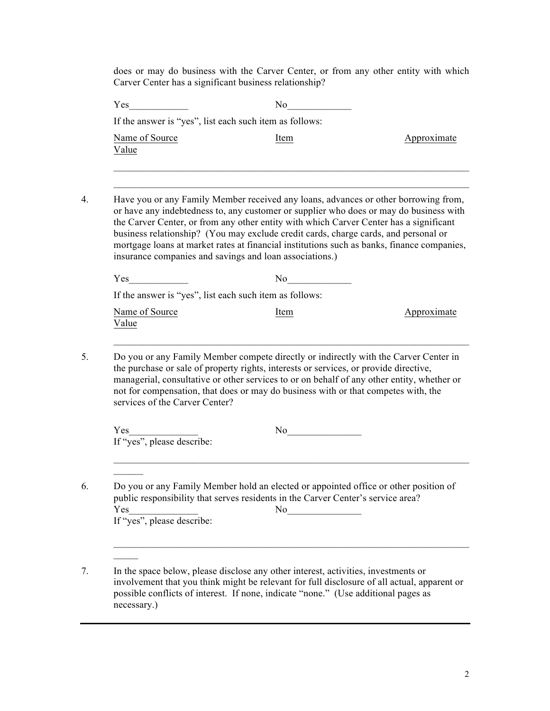does or may do business with the Carver Center, or from any other entity with which Carver Center has a significant business relationship?

|                                   | If the answer is "yes", list each such item as follows:                                                                                                                                                                                                                                                                                                                                                                                                                                                                 |             |
|-----------------------------------|-------------------------------------------------------------------------------------------------------------------------------------------------------------------------------------------------------------------------------------------------------------------------------------------------------------------------------------------------------------------------------------------------------------------------------------------------------------------------------------------------------------------------|-------------|
| Name of Source<br>Value           | Item                                                                                                                                                                                                                                                                                                                                                                                                                                                                                                                    | Approximate |
|                                   |                                                                                                                                                                                                                                                                                                                                                                                                                                                                                                                         |             |
|                                   | Have you or any Family Member received any loans, advances or other borrowing from,<br>or have any indebtedness to, any customer or supplier who does or may do business with<br>the Carver Center, or from any other entity with which Carver Center has a significant<br>business relationship? (You may exclude credit cards, charge cards, and personal or<br>mortgage loans at market rates at financial institutions such as banks, finance companies,<br>insurance companies and savings and loan associations.) |             |
|                                   | No                                                                                                                                                                                                                                                                                                                                                                                                                                                                                                                      |             |
|                                   | If the answer is "yes", list each such item as follows:                                                                                                                                                                                                                                                                                                                                                                                                                                                                 |             |
| Name of Source<br>Value           | Item                                                                                                                                                                                                                                                                                                                                                                                                                                                                                                                    | Approximate |
| services of the Carver Center?    | Do you or any Family Member compete directly or indirectly with the Carver Center in<br>the purchase or sale of property rights, interests or services, or provide directive,<br>managerial, consultative or other services to or on behalf of any other entity, whether or<br>not for compensation, that does or may do business with or that competes with, the                                                                                                                                                       |             |
| Yes<br>If "yes", please describe: |                                                                                                                                                                                                                                                                                                                                                                                                                                                                                                                         |             |

7. In the space below, please disclose any other interest, activities, investments or involvement that you think might be relevant for full disclosure of all actual, apparent or possible conflicts of interest. If none, indicate "none." (Use additional pages as necessary.)